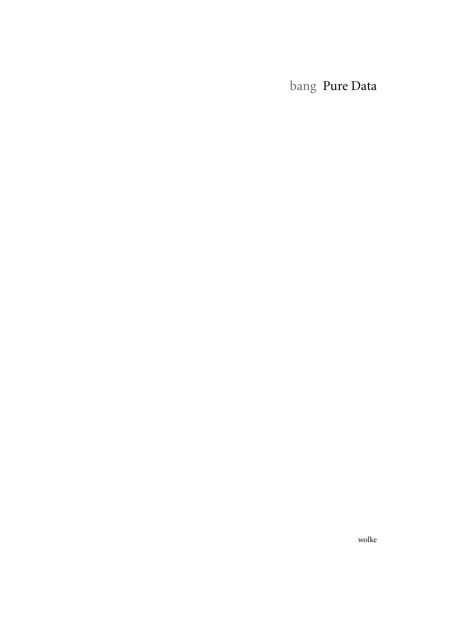bang Pure Data

wolke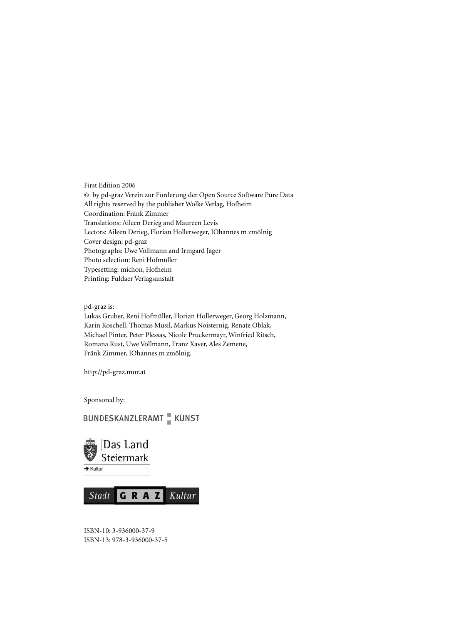First Edition 2006 © by pd-graz Verein zur Förderung der Open Source Software Pure Data All rights reserved by the publisher Wolke Verlag, Hofheim Coordination: Fränk Zimmer Translations: Aileen Derieg and Maureen Levis Lectors: Aileen Derieg, Florian Hollerweger, IOhannes m zmölnig Cover design: pd-graz Photographs: Uwe Vollmann and Irmgard Jäger Photo selection: Reni Hofmüller Typesetting: michon, Hofheim Printing: Fuldaer Verlagsanstalt

pd-graz is:

Lukas Gruber, Reni Hofmüller, Florian Hollerweger, Georg Holzmann, Karin Koschell, Thomas Musil, Markus Noisternig, Renate Oblak, Michael Pinter, Peter Plessas, Nicole Pruckermayr, Winfried Ritsch, Romana Rust, Uwe Vollmann, Franz Xaver, Ales Zemene, Fränk Zimmer, IOhannes m zmölnig.

http://pd-graz.mur.at

Sponsored by:

## **BUNDESKANZLERAMT** KUNST



GRAZ Stadt Kultur

ISBN-10: 3-936000-37-9 ISBN-13: 978-3-936000-37-5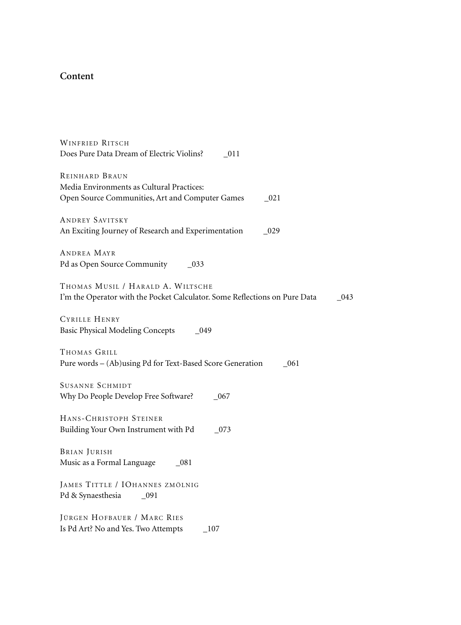## **Content**

| <b>WINFRIED RITSCH</b><br>Does Pure Data Dream of Electric Violins?<br>011                                             |
|------------------------------------------------------------------------------------------------------------------------|
| REINHARD BRAUN<br>Media Environments as Cultural Practices:<br>Open Source Communities, Art and Computer Games<br>021  |
| ANDREY SAVITSKY<br>An Exciting Journey of Research and Experimentation<br>029                                          |
| ANDREA MAYR<br>Pd as Open Source Community<br>- 033                                                                    |
| THOMAS MUSIL / HARALD A. WILTSCHE<br>I'm the Operator with the Pocket Calculator. Some Reflections on Pure Data<br>043 |
| <b>CYRILLE HENRY</b><br><b>Basic Physical Modeling Concepts</b><br>- 049                                               |
| THOMAS GRILL<br>Pure words - (Ab)using Pd for Text-Based Score Generation<br>-061                                      |
| <b>SUSANNE SCHMIDT</b><br>Why Do People Develop Free Software?<br>067                                                  |
| HANS-CHRISTOPH STEINER<br>Building Your Own Instrument with Pd<br>073                                                  |
| <b>BRIAN JURISH</b><br>Music as a Formal Language<br>- 081                                                             |
| JAMES TITTLE / IOHANNES ZMÖLNIG<br>Pd & Synaesthesia<br>- 091                                                          |
| JÜRGEN HOFBAUER / MARC RIES<br>Is Pd Art? No and Yes. Two Attempts<br>- 107                                            |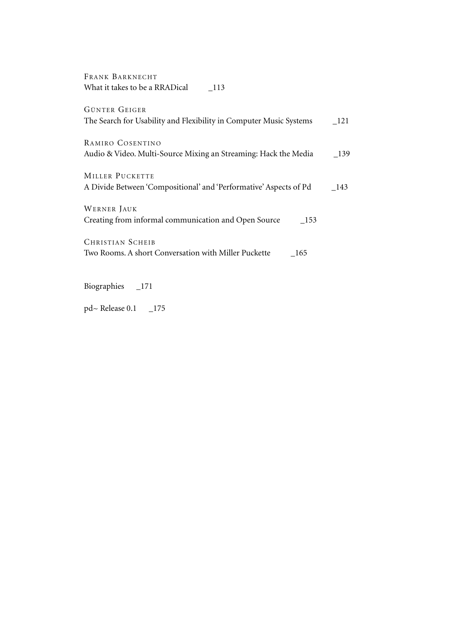| FRANK BARKNECHT                |     |  |
|--------------------------------|-----|--|
| What it takes to be a RRADical | 113 |  |

| GÜNTER GEIGER                                                      |       |
|--------------------------------------------------------------------|-------|
| The Search for Usability and Flexibility in Computer Music Systems | - 121 |
| RAMIRO COSENTINO                                                   |       |
| Audio & Video. Multi-Source Mixing an Streaming: Hack the Media    | - 139 |
| MILLER PUCKETTE                                                    |       |
|                                                                    |       |
| A Divide Between 'Compositional' and 'Performative' Aspects of Pd  | - 143 |
| WERNER JAUK                                                        |       |
| Creating from informal communication and Open Source<br>- 153      |       |
| <b>CHRISTIAN SCHEIB</b>                                            |       |
| Two Rooms. A short Conversation with Miller Puckette<br>- 165      |       |
|                                                                    |       |

Biographies \_171

pd~ Release 0.1  $\_175$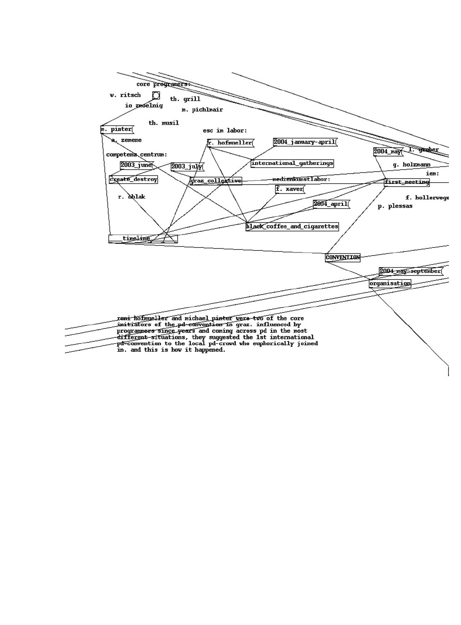